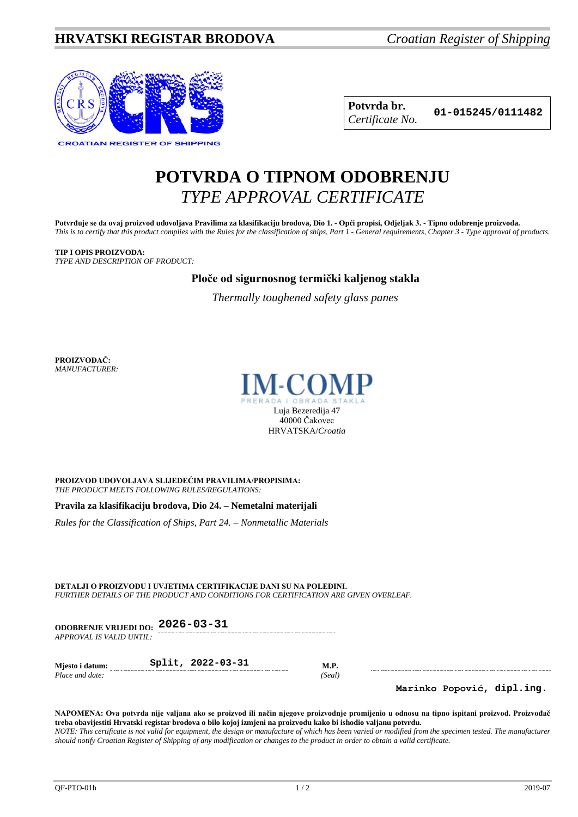# **HRVATSKI REGISTAR BRODOVA** *Croatian Register of Shipping*



**Potvrda br. 01-015245/0111482** *Certificate No.*

# **POTVRDA O TIPNOM ODOBRENJU** *TYPE APPROVAL CERTIFICATE*

**Potvrđuje se da ovaj proizvod udovoljava Pravilima za klasifikaciju brodova, Dio 1. - Opći propisi, Odjeljak 3. - Tipno odobrenje proizvoda.** *This is to certify that this product complies with the Rules for the classification of ships, Part 1 - General requirements, Chapter 3 - Type approval of products.*

#### **TIP I OPIS PROIZVODA:** *TYPE AND DESCRIPTION OF PRODUCT:*

**Ploče od sigurnosnog termički kaljenog stakla**

*Thermally toughened safety glass panes*

**PROIZVOĐAČ:** *MANUFACTURER:*



**PROIZVOD UDOVOLJAVA SLIJEDEĆIM PRAVILIMA/PROPISIMA:** *THE PRODUCT MEETS FOLLOWING RULES/REGULATIONS:*

**Pravila za klasifikaciju brodova, Dio 24. – Nemetalni materijali**

*Rules for the Classification of Ships, Part 24. – Nonmetallic Materials*

**DETALJI O PROIZVODU I UVJETIMA CERTIFIKACIJE DANI SU NA POLEĐINI.** *FURTHER DETAILS OF THE PRODUCT AND CONDITIONS FOR CERTIFICATION ARE GIVEN OVERLEAF.*

**ODOBRENJE VRIJEDI DO: 2026-03-31** *APPROVAL IS VALID UNTIL:*

**Mjesto i datum: Split, 2022-03-31 M.P.** *Place and date: (Seal)*

**Marinko Popović, dipl.ing.**

**NAPOMENA: Ova potvrda nije valjana ako se proizvod ili način njegove proizvodnje promijenio u odnosu na tipno ispitani proizvod. Proizvođač treba obavijestiti Hrvatski registar brodova o bilo kojoj izmjeni na proizvodu kako bi ishodio valjanu potvrdu.** *NOTE: This certificate is not valid for equipment, the design or manufacture of which has been varied or modified from the specimen tested. The manufacturer should notify Croatian Register of Shipping of any modification or changes to the product in order to obtain a valid certificate.*